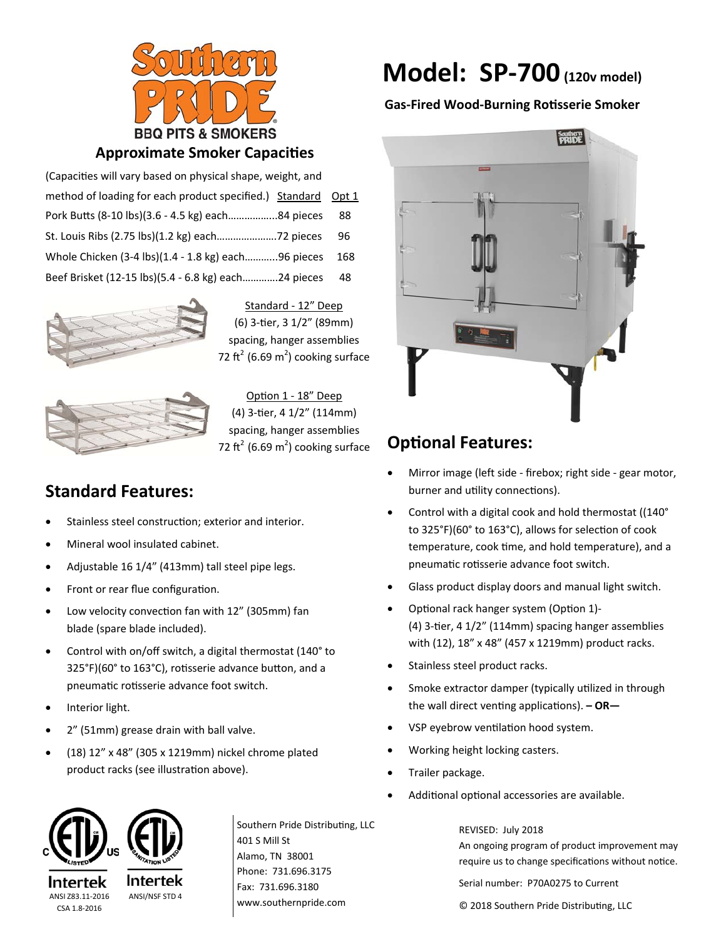

### **Approximate Smoker CapaciƟes**

| (Capacities will vary based on physical shape, weight, and |       |
|------------------------------------------------------------|-------|
| method of loading for each product specified.) Standard    | Opt 1 |
| Pork Butts (8-10 lbs)(3.6 - 4.5 kg) each84 pieces          | 88    |
| St. Louis Ribs (2.75 lbs)(1.2 kg) each72 pieces            | 96    |
| Whole Chicken (3-4 lbs)(1.4 - 1.8 kg) each96 pieces        | 168   |
| Beef Brisket (12-15 lbs)(5.4 - 6.8 kg) each24 pieces       | 48    |



Standard ‐ 12" Deep (6) 3‐Ɵer, 3 1/2" (89mm) spacing, hanger assemblies 72 ft<sup>2</sup> (6.69 m<sup>2</sup>) cooking surface



Option 1 - 18" Deep (4) 3‐Ɵer, 4 1/2" (114mm) spacing, hanger assemblies 72 ft<sup>2</sup> (6.69 m<sup>2</sup>) cooking surface

# **Standard Features:**

- Stainless steel construction; exterior and interior.
- Mineral wool insulated cabinet.
- Adjustable 16 1/4" (413mm) tall steel pipe legs.
- Front or rear flue configuration.
- Low velocity convection fan with 12" (305mm) fan blade (spare blade included).
- Control with on/off switch, a digital thermostat (140° to 325°F)(60° to 163°C), rotisserie advance button, and a pneumatic rotisserie advance foot switch.
- Interior light.
- 2" (51mm) grease drain with ball valve.
- (18) 12" x 48" (305 x 1219mm) nickel chrome plated product racks (see illustration above).

# **Model: SP‐700(120v model)**

### **Gas‐Fired Wood‐Burning RoƟsserie Smoker**



## **OpƟonal Features:**

- Mirror image (left side ‐ firebox; right side ‐ gear motor, burner and utility connections).
- Control with a digital cook and hold thermostat ((140° to 325°F)(60° to 163°C), allows for selection of cook temperature, cook time, and hold temperature), and a pneumatic rotisserie advance foot switch.
- Glass product display doors and manual light switch.
- Optional rack hanger system (Option 1)-(4) 3-tier, 4 1/2" (114mm) spacing hanger assemblies with (12), 18" x 48" (457 x 1219mm) product racks.
- Stainless steel product racks.
- Smoke extractor damper (typically utilized in through the wall direct venƟng applicaƟons). **– OR—**
- VSP eyebrow ventilation hood system.
- Working height locking casters.
- Trailer package.
- Additional optional accessories are available.

Intertek ANSI Z83.11‐2016 CSA 1.8‐2016

**Intertek** ANSI/NSF STD 4 Southern Pride Distributing, LLC 401 S Mill St Alamo, TN 38001 Phone: 731.696.3175 Fax: 731.696.3180 www.southernpride.com

REVISED: July 2018

An ongoing program of product improvement may require us to change specifications without notice.

Serial number: P70A0275 to Current

© 2018 Southern Pride Distributing, LLC